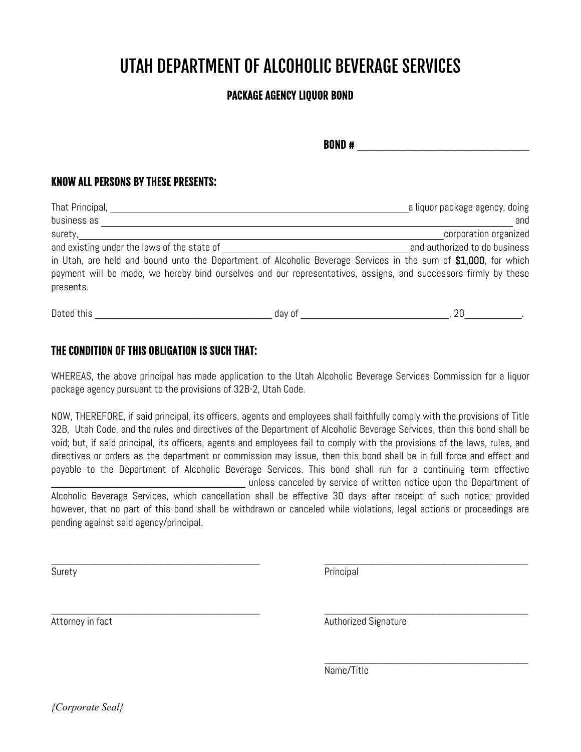# UTAH DEPARTMENT OF ALCOHOLIC BEVERAGE SERVICES

### PACKAGE AGENCY LIQUOR BOND

**BOND #**  $\qquad \qquad \qquad$ 

#### KNOW ALL PERSONS BY THESE PRESENTS:

| That Principal,                                                                                                 | a liquor package agency, doing |
|-----------------------------------------------------------------------------------------------------------------|--------------------------------|
| business as                                                                                                     | and                            |
| surety,                                                                                                         | corporation organized          |
| and existing under the laws of the state of                                                                     | and authorized to do business  |
| in Utah, are held and bound unto the Department of Alcoholic Beverage Services in the sum of \$1,000, for which |                                |
| payment will be made, we hereby bind ourselves and our representatives, assigns, and successors firmly by these |                                |
| presents.                                                                                                       |                                |
|                                                                                                                 |                                |

| $\sqrt{2}$<br>Dated<br>.<br>chis | · ∩*<br>nar | ``<br>$ -$ |
|----------------------------------|-------------|------------|
|----------------------------------|-------------|------------|

#### THE CONDITION OF THIS OBLIGATION IS SUCH THAT:

WHEREAS, the above principal has made application to the Utah Alcoholic Beverage Services Commission for a liquor package agency pursuant to the provisions of 32B-2, Utah Code.

NOW, THEREFORE, if said principal, its officers, agents and employees shall faithfully comply with the provisions of Title 32B, Utah Code, and the rules and directives of the Department of Alcoholic Beverage Services, then this bond shall be void; but, if said principal, its officers, agents and employees fail to comply with the provisions of the laws, rules, and directives or orders as the department or commission may issue, then this bond shall be in full force and effect and payable to the Department of Alcoholic Beverage Services. This bond shall run for a continuing term effective unless canceled by service of written notice upon the Department of Alcoholic Beverage Services, which cancellation shall be effective 30 days after receipt of such notice; provided however, that no part of this bond shall be withdrawn or canceled while violations, legal actions or proceedings are pending against said agency/principal.

 $\_$ 

\_\_\_\_\_\_\_\_\_\_\_\_\_\_\_\_\_\_\_\_\_\_\_\_\_\_\_\_\_\_\_\_\_\_\_\_\_\_\_\_ \_\_\_\_\_\_\_\_\_\_\_\_\_\_\_\_\_\_\_\_\_\_\_\_\_\_\_\_\_\_\_\_\_\_\_\_\_\_\_

Surety Principal

Attorney in fact Authorized Signature Authorized Signature

 $\mathcal{L}_\text{max}$  , where  $\mathcal{L}_\text{max}$  , we are the set of the set of the set of the set of the set of the set of the set of the set of the set of the set of the set of the set of the set of the set of the set of the set of

Name/Title